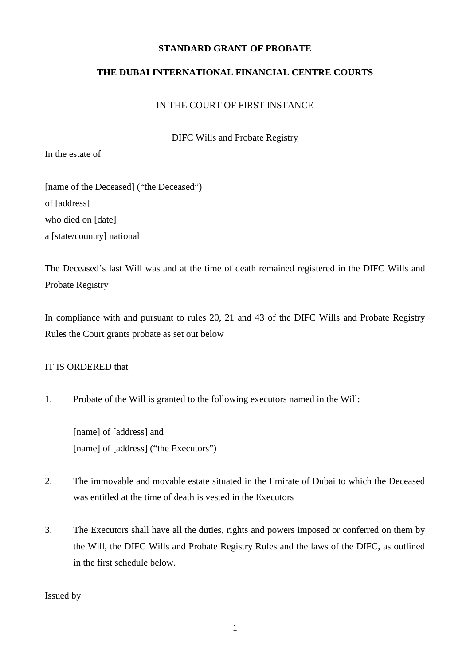## **STANDARD GRANT OF PROBATE**

## **THE DUBAI INTERNATIONAL FINANCIAL CENTRE COURTS**

#### IN THE COURT OF FIRST INSTANCE

DIFC Wills and Probate Registry

In the estate of

[name of the Deceased] ("the Deceased") of [address] who died on [date] a [state/country] national

The Deceased's last Will was and at the time of death remained registered in the DIFC Wills and Probate Registry

In compliance with and pursuant to rules 20, 21 and 43 of the DIFC Wills and Probate Registry Rules the Court grants probate as set out below

#### IT IS ORDERED that

1. Probate of the Will is granted to the following executors named in the Will:

[name] of [address] and [name] of [address] ("the Executors")

- 2. The immovable and movable estate situated in the Emirate of Dubai to which the Deceased was entitled at the time of death is vested in the Executors
- 3. The Executors shall have all the duties, rights and powers imposed or conferred on them by the Will, the DIFC Wills and Probate Registry Rules and the laws of the DIFC, as outlined in the first schedule below.

Issued by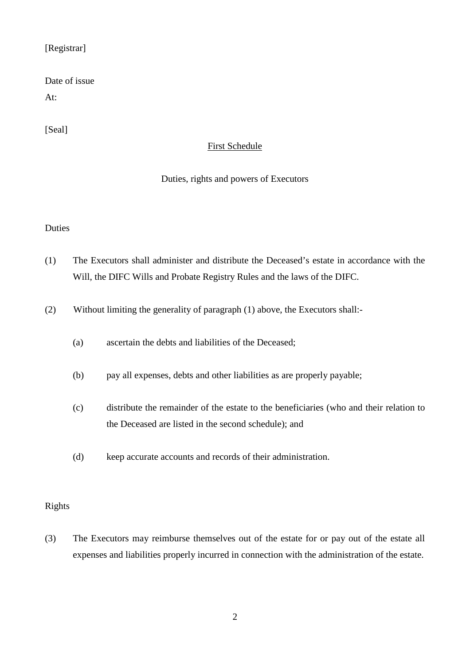## [Registrar]

# Date of issue

At:

[Seal]

## First Schedule

## Duties, rights and powers of Executors

#### Duties

- (1) The Executors shall administer and distribute the Deceased's estate in accordance with the Will, the DIFC Wills and Probate Registry Rules and the laws of the DIFC.
- (2) Without limiting the generality of paragraph (1) above, the Executors shall:-
	- (a) ascertain the debts and liabilities of the Deceased;
	- (b) pay all expenses, debts and other liabilities as are properly payable;
	- (c) distribute the remainder of the estate to the beneficiaries (who and their relation to the Deceased are listed in the second schedule); and
	- (d) keep accurate accounts and records of their administration.

## Rights

(3) The Executors may reimburse themselves out of the estate for or pay out of the estate all expenses and liabilities properly incurred in connection with the administration of the estate.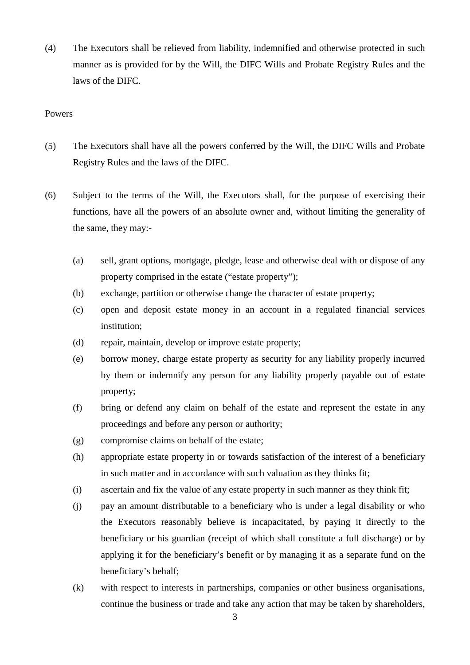(4) The Executors shall be relieved from liability, indemnified and otherwise protected in such manner as is provided for by the Will, the DIFC Wills and Probate Registry Rules and the laws of the DIFC.

- (5) The Executors shall have all the powers conferred by the Will, the DIFC Wills and Probate Registry Rules and the laws of the DIFC.
- (6) Subject to the terms of the Will, the Executors shall, for the purpose of exercising their functions, have all the powers of an absolute owner and, without limiting the generality of the same, they may:-
	- (a) sell, grant options, mortgage, pledge, lease and otherwise deal with or dispose of any property comprised in the estate ("estate property");
	- (b) exchange, partition or otherwise change the character of estate property;
	- (c) open and deposit estate money in an account in a regulated financial services institution;
	- (d) repair, maintain, develop or improve estate property;
	- (e) borrow money, charge estate property as security for any liability properly incurred by them or indemnify any person for any liability properly payable out of estate property;
	- (f) bring or defend any claim on behalf of the estate and represent the estate in any proceedings and before any person or authority;
	- (g) compromise claims on behalf of the estate;
	- (h) appropriate estate property in or towards satisfaction of the interest of a beneficiary in such matter and in accordance with such valuation as they thinks fit;
	- (i) ascertain and fix the value of any estate property in such manner as they think fit;
	- (j) pay an amount distributable to a beneficiary who is under a legal disability or who the Executors reasonably believe is incapacitated, by paying it directly to the beneficiary or his guardian (receipt of which shall constitute a full discharge) or by applying it for the beneficiary's benefit or by managing it as a separate fund on the beneficiary's behalf;
	- (k) with respect to interests in partnerships, companies or other business organisations, continue the business or trade and take any action that may be taken by shareholders,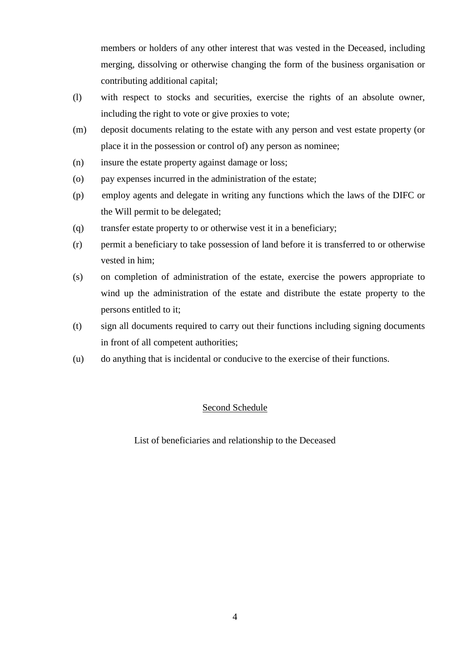members or holders of any other interest that was vested in the Deceased, including merging, dissolving or otherwise changing the form of the business organisation or contributing additional capital;

- (l) with respect to stocks and securities, exercise the rights of an absolute owner, including the right to vote or give proxies to vote;
- (m) deposit documents relating to the estate with any person and vest estate property (or place it in the possession or control of) any person as nominee;
- (n) insure the estate property against damage or loss;
- (o) pay expenses incurred in the administration of the estate;
- (p) employ agents and delegate in writing any functions which the laws of the DIFC or the Will permit to be delegated;
- (q) transfer estate property to or otherwise vest it in a beneficiary;
- (r) permit a beneficiary to take possession of land before it is transferred to or otherwise vested in him;
- (s) on completion of administration of the estate, exercise the powers appropriate to wind up the administration of the estate and distribute the estate property to the persons entitled to it;
- (t) sign all documents required to carry out their functions including signing documents in front of all competent authorities;
- (u) do anything that is incidental or conducive to the exercise of their functions.

## Second Schedule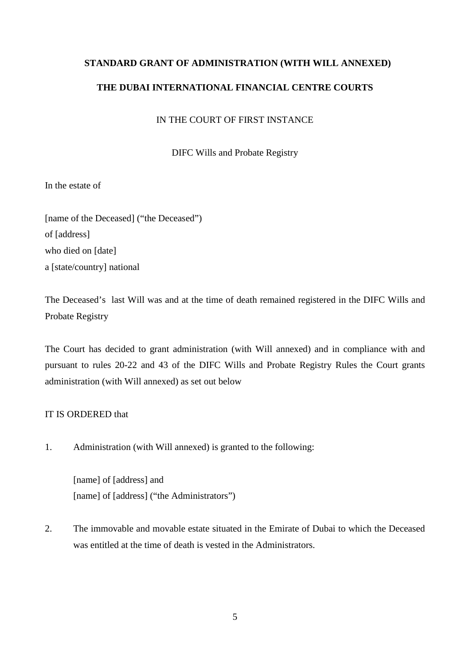## **STANDARD GRANT OF ADMINISTRATION (WITH WILL ANNEXED)**

## **THE DUBAI INTERNATIONAL FINANCIAL CENTRE COURTS**

## IN THE COURT OF FIRST INSTANCE

DIFC Wills and Probate Registry

In the estate of

[name of the Deceased] ("the Deceased") of [address] who died on [date] a [state/country] national

The Deceased's last Will was and at the time of death remained registered in the DIFC Wills and Probate Registry

The Court has decided to grant administration (with Will annexed) and in compliance with and pursuant to rules 20-22 and 43 of the DIFC Wills and Probate Registry Rules the Court grants administration (with Will annexed) as set out below

#### IT IS ORDERED that

1. Administration (with Will annexed) is granted to the following:

[name] of [address] and [name] of [address] ("the Administrators")

2. The immovable and movable estate situated in the Emirate of Dubai to which the Deceased was entitled at the time of death is vested in the Administrators.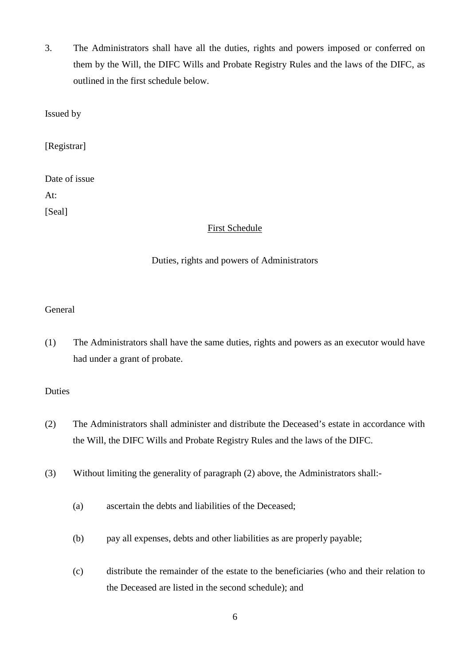3. The Administrators shall have all the duties, rights and powers imposed or conferred on them by the Will, the DIFC Wills and Probate Registry Rules and the laws of the DIFC, as outlined in the first schedule below.

Issued by

[Registrar]

| Date of issue |
|---------------|
| At:           |
| [Seal]        |

#### First Schedule

#### Duties, rights and powers of Administrators

## General

(1) The Administrators shall have the same duties, rights and powers as an executor would have had under a grant of probate.

#### Duties

- (2) The Administrators shall administer and distribute the Deceased's estate in accordance with the Will, the DIFC Wills and Probate Registry Rules and the laws of the DIFC.
- (3) Without limiting the generality of paragraph (2) above, the Administrators shall:-
	- (a) ascertain the debts and liabilities of the Deceased;
	- (b) pay all expenses, debts and other liabilities as are properly payable;
	- (c) distribute the remainder of the estate to the beneficiaries (who and their relation to the Deceased are listed in the second schedule); and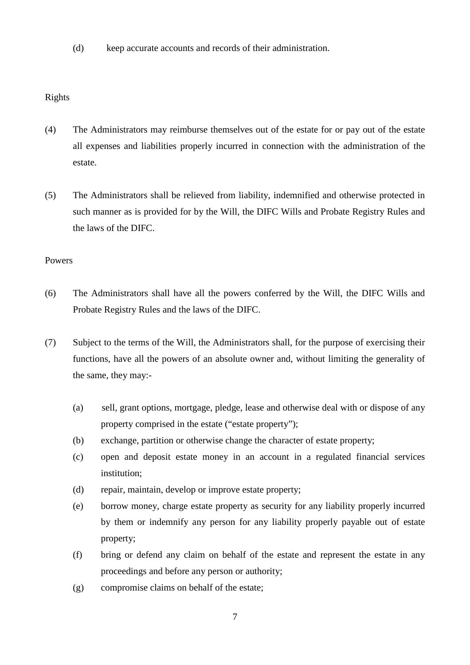(d) keep accurate accounts and records of their administration.

## Rights

- (4) The Administrators may reimburse themselves out of the estate for or pay out of the estate all expenses and liabilities properly incurred in connection with the administration of the estate.
- (5) The Administrators shall be relieved from liability, indemnified and otherwise protected in such manner as is provided for by the Will, the DIFC Wills and Probate Registry Rules and the laws of the DIFC.

- (6) The Administrators shall have all the powers conferred by the Will, the DIFC Wills and Probate Registry Rules and the laws of the DIFC.
- (7) Subject to the terms of the Will, the Administrators shall, for the purpose of exercising their functions, have all the powers of an absolute owner and, without limiting the generality of the same, they may:-
	- (a) sell, grant options, mortgage, pledge, lease and otherwise deal with or dispose of any property comprised in the estate ("estate property");
	- (b) exchange, partition or otherwise change the character of estate property;
	- (c) open and deposit estate money in an account in a regulated financial services institution;
	- (d) repair, maintain, develop or improve estate property;
	- (e) borrow money, charge estate property as security for any liability properly incurred by them or indemnify any person for any liability properly payable out of estate property;
	- (f) bring or defend any claim on behalf of the estate and represent the estate in any proceedings and before any person or authority;
	- (g) compromise claims on behalf of the estate;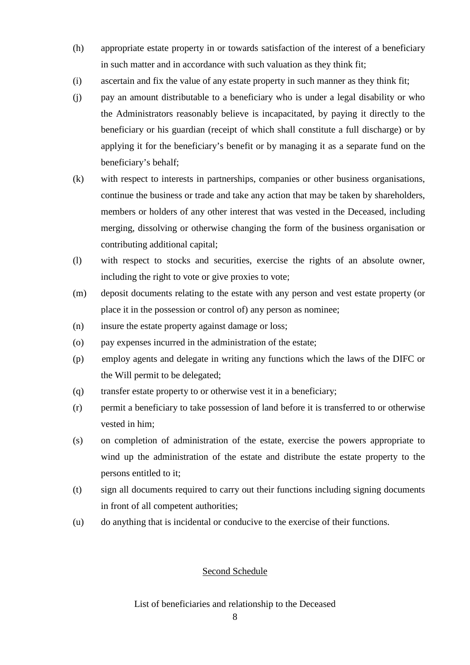- (h) appropriate estate property in or towards satisfaction of the interest of a beneficiary in such matter and in accordance with such valuation as they think fit;
- (i) ascertain and fix the value of any estate property in such manner as they think fit;
- (j) pay an amount distributable to a beneficiary who is under a legal disability or who the Administrators reasonably believe is incapacitated, by paying it directly to the beneficiary or his guardian (receipt of which shall constitute a full discharge) or by applying it for the beneficiary's benefit or by managing it as a separate fund on the beneficiary's behalf;
- (k) with respect to interests in partnerships, companies or other business organisations, continue the business or trade and take any action that may be taken by shareholders, members or holders of any other interest that was vested in the Deceased, including merging, dissolving or otherwise changing the form of the business organisation or contributing additional capital;
- (l) with respect to stocks and securities, exercise the rights of an absolute owner, including the right to vote or give proxies to vote;
- (m) deposit documents relating to the estate with any person and vest estate property (or place it in the possession or control of) any person as nominee;
- (n) insure the estate property against damage or loss;
- (o) pay expenses incurred in the administration of the estate;
- (p) employ agents and delegate in writing any functions which the laws of the DIFC or the Will permit to be delegated;
- (q) transfer estate property to or otherwise vest it in a beneficiary;
- (r) permit a beneficiary to take possession of land before it is transferred to or otherwise vested in him;
- (s) on completion of administration of the estate, exercise the powers appropriate to wind up the administration of the estate and distribute the estate property to the persons entitled to it;
- (t) sign all documents required to carry out their functions including signing documents in front of all competent authorities;
- (u) do anything that is incidental or conducive to the exercise of their functions.

#### Second Schedule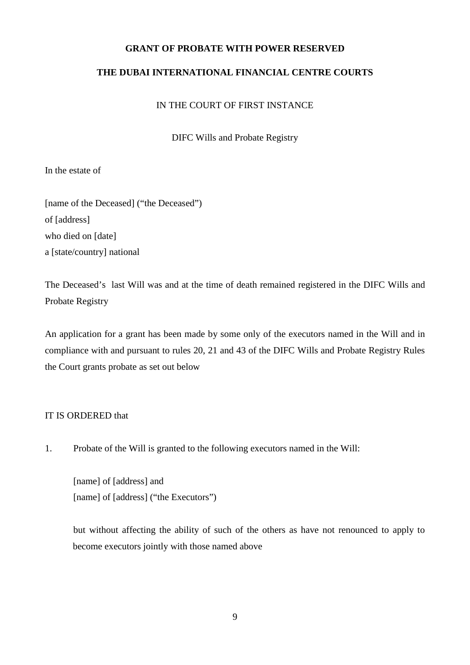## **GRANT OF PROBATE WITH POWER RESERVED**

## **THE DUBAI INTERNATIONAL FINANCIAL CENTRE COURTS**

#### IN THE COURT OF FIRST INSTANCE

DIFC Wills and Probate Registry

In the estate of

[name of the Deceased] ("the Deceased") of [address] who died on [date] a [state/country] national

The Deceased's last Will was and at the time of death remained registered in the DIFC Wills and Probate Registry

An application for a grant has been made by some only of the executors named in the Will and in compliance with and pursuant to rules 20, 21 and 43 of the DIFC Wills and Probate Registry Rules the Court grants probate as set out below

#### IT IS ORDERED that

1. Probate of the Will is granted to the following executors named in the Will:

[name] of [address] and [name] of [address] ("the Executors")

but without affecting the ability of such of the others as have not renounced to apply to become executors jointly with those named above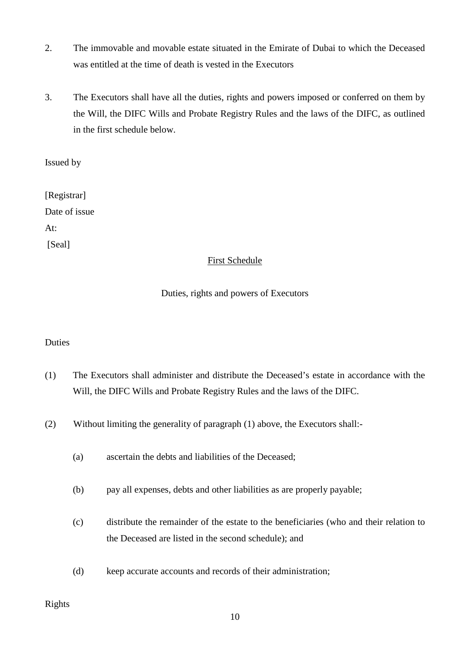- 2. The immovable and movable estate situated in the Emirate of Dubai to which the Deceased was entitled at the time of death is vested in the Executors
- 3. The Executors shall have all the duties, rights and powers imposed or conferred on them by the Will, the DIFC Wills and Probate Registry Rules and the laws of the DIFC, as outlined in the first schedule below.

Issued by

[Registrar] Date of issue At: [Seal]

## First Schedule

## Duties, rights and powers of Executors

## Duties

- (1) The Executors shall administer and distribute the Deceased's estate in accordance with the Will, the DIFC Wills and Probate Registry Rules and the laws of the DIFC.
- (2) Without limiting the generality of paragraph (1) above, the Executors shall:-
	- (a) ascertain the debts and liabilities of the Deceased;
	- (b) pay all expenses, debts and other liabilities as are properly payable;
	- (c) distribute the remainder of the estate to the beneficiaries (who and their relation to the Deceased are listed in the second schedule); and
	- (d) keep accurate accounts and records of their administration;

## Rights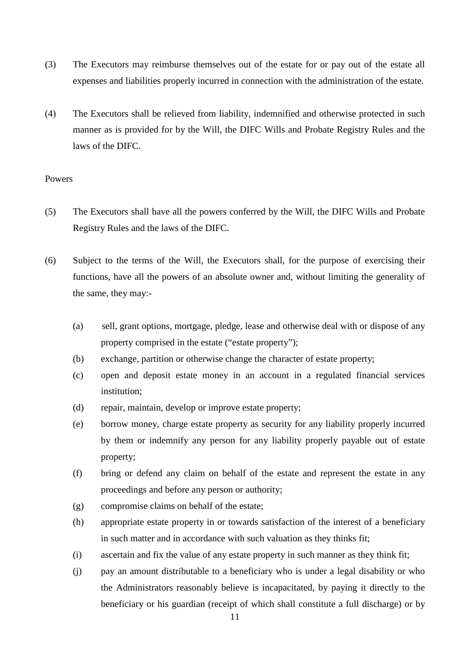- (3) The Executors may reimburse themselves out of the estate for or pay out of the estate all expenses and liabilities properly incurred in connection with the administration of the estate.
- (4) The Executors shall be relieved from liability, indemnified and otherwise protected in such manner as is provided for by the Will, the DIFC Wills and Probate Registry Rules and the laws of the DIFC.

- (5) The Executors shall have all the powers conferred by the Will, the DIFC Wills and Probate Registry Rules and the laws of the DIFC.
- (6) Subject to the terms of the Will, the Executors shall, for the purpose of exercising their functions, have all the powers of an absolute owner and, without limiting the generality of the same, they may:-
	- (a) sell, grant options, mortgage, pledge, lease and otherwise deal with or dispose of any property comprised in the estate ("estate property");
	- (b) exchange, partition or otherwise change the character of estate property;
	- (c) open and deposit estate money in an account in a regulated financial services institution;
	- (d) repair, maintain, develop or improve estate property;
	- (e) borrow money, charge estate property as security for any liability properly incurred by them or indemnify any person for any liability properly payable out of estate property;
	- (f) bring or defend any claim on behalf of the estate and represent the estate in any proceedings and before any person or authority;
	- (g) compromise claims on behalf of the estate;
	- (h) appropriate estate property in or towards satisfaction of the interest of a beneficiary in such matter and in accordance with such valuation as they thinks fit;
	- (i) ascertain and fix the value of any estate property in such manner as they think fit;
	- (j) pay an amount distributable to a beneficiary who is under a legal disability or who the Administrators reasonably believe is incapacitated, by paying it directly to the beneficiary or his guardian (receipt of which shall constitute a full discharge) or by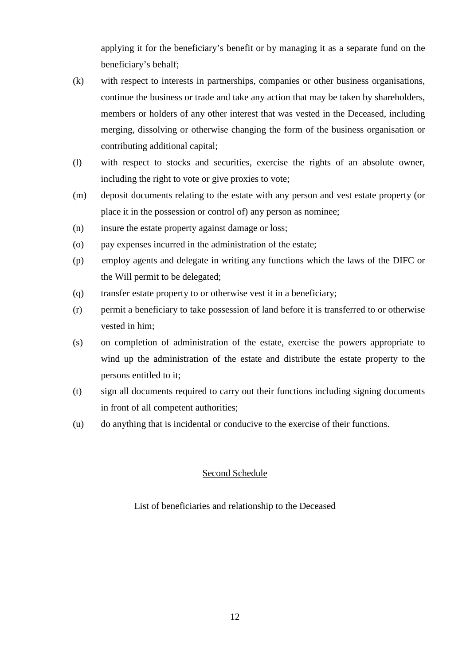applying it for the beneficiary's benefit or by managing it as a separate fund on the beneficiary's behalf;

- (k) with respect to interests in partnerships, companies or other business organisations, continue the business or trade and take any action that may be taken by shareholders, members or holders of any other interest that was vested in the Deceased, including merging, dissolving or otherwise changing the form of the business organisation or contributing additional capital;
- (l) with respect to stocks and securities, exercise the rights of an absolute owner, including the right to vote or give proxies to vote;
- (m) deposit documents relating to the estate with any person and vest estate property (or place it in the possession or control of) any person as nominee;
- (n) insure the estate property against damage or loss;
- (o) pay expenses incurred in the administration of the estate;
- (p) employ agents and delegate in writing any functions which the laws of the DIFC or the Will permit to be delegated;
- (q) transfer estate property to or otherwise vest it in a beneficiary;
- (r) permit a beneficiary to take possession of land before it is transferred to or otherwise vested in him;
- (s) on completion of administration of the estate, exercise the powers appropriate to wind up the administration of the estate and distribute the estate property to the persons entitled to it;
- (t) sign all documents required to carry out their functions including signing documents in front of all competent authorities;
- (u) do anything that is incidental or conducive to the exercise of their functions.

## Second Schedule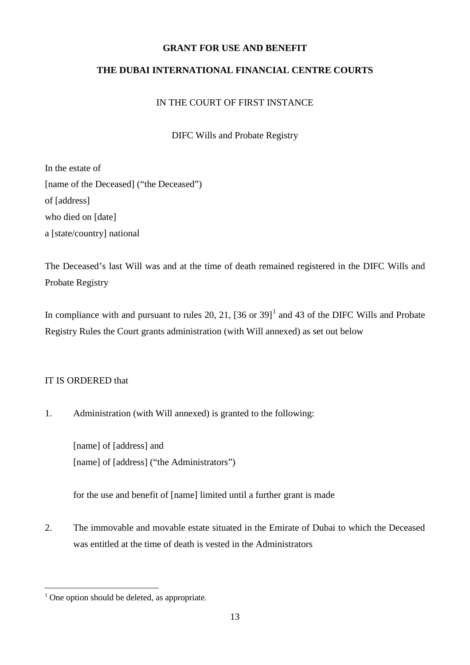## **GRANT FOR USE AND BENEFIT**

## **THE DUBAI INTERNATIONAL FINANCIAL CENTRE COURTS**

## IN THE COURT OF FIRST INSTANCE

DIFC Wills and Probate Registry

In the estate of [name of the Deceased] ("the Deceased") of [address] who died on [date] a [state/country] national

The Deceased's last Will was and at the time of death remained registered in the DIFC Wills and Probate Registry

In compliance with and pursuant to rules 20, 2[1](#page-12-0),  $[36 \text{ or } 39]$ <sup>1</sup> and 43 of the DIFC Wills and Probate Registry Rules the Court grants administration (with Will annexed) as set out below

## IT IS ORDERED that

1. Administration (with Will annexed) is granted to the following:

[name] of [address] and [name] of [address] ("the Administrators")

for the use and benefit of [name] limited until a further grant is made

2. The immovable and movable estate situated in the Emirate of Dubai to which the Deceased was entitled at the time of death is vested in the Administrators

<span id="page-12-0"></span> $<sup>1</sup>$  One option should be deleted, as appropriate.</sup>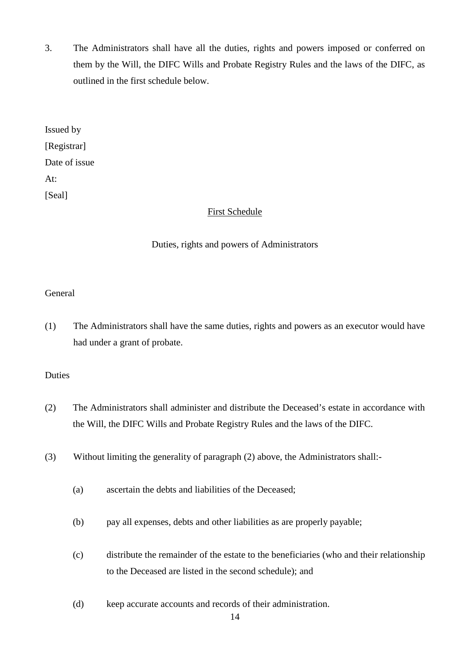3. The Administrators shall have all the duties, rights and powers imposed or conferred on them by the Will, the DIFC Wills and Probate Registry Rules and the laws of the DIFC, as outlined in the first schedule below.

Issued by [Registrar] Date of issue At: [Seal]

## First Schedule

## Duties, rights and powers of Administrators

#### General

(1) The Administrators shall have the same duties, rights and powers as an executor would have had under a grant of probate.

#### Duties

- (2) The Administrators shall administer and distribute the Deceased's estate in accordance with the Will, the DIFC Wills and Probate Registry Rules and the laws of the DIFC.
- (3) Without limiting the generality of paragraph (2) above, the Administrators shall:-
	- (a) ascertain the debts and liabilities of the Deceased;
	- (b) pay all expenses, debts and other liabilities as are properly payable;
	- (c) distribute the remainder of the estate to the beneficiaries (who and their relationship to the Deceased are listed in the second schedule); and
	- (d) keep accurate accounts and records of their administration.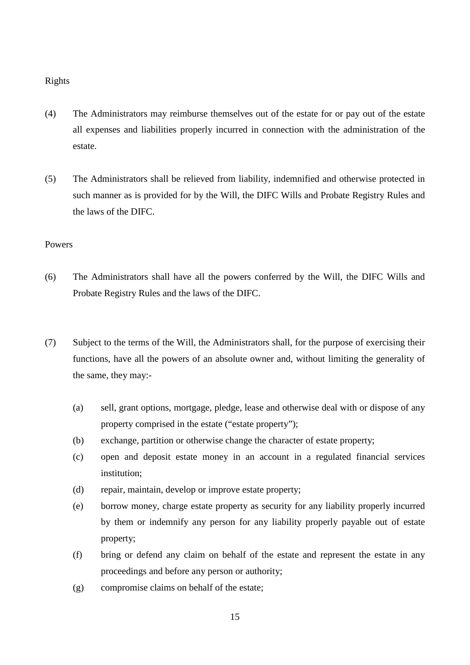Rights

- (4) The Administrators may reimburse themselves out of the estate for or pay out of the estate all expenses and liabilities properly incurred in connection with the administration of the estate.
- (5) The Administrators shall be relieved from liability, indemnified and otherwise protected in such manner as is provided for by the Will, the DIFC Wills and Probate Registry Rules and the laws of the DIFC.

- (6) The Administrators shall have all the powers conferred by the Will, the DIFC Wills and Probate Registry Rules and the laws of the DIFC.
- (7) Subject to the terms of the Will, the Administrators shall, for the purpose of exercising their functions, have all the powers of an absolute owner and, without limiting the generality of the same, they may:-
	- (a) sell, grant options, mortgage, pledge, lease and otherwise deal with or dispose of any property comprised in the estate ("estate property");
	- (b) exchange, partition or otherwise change the character of estate property;
	- (c) open and deposit estate money in an account in a regulated financial services institution;
	- (d) repair, maintain, develop or improve estate property;
	- (e) borrow money, charge estate property as security for any liability properly incurred by them or indemnify any person for any liability properly payable out of estate property;
	- (f) bring or defend any claim on behalf of the estate and represent the estate in any proceedings and before any person or authority;
	- (g) compromise claims on behalf of the estate;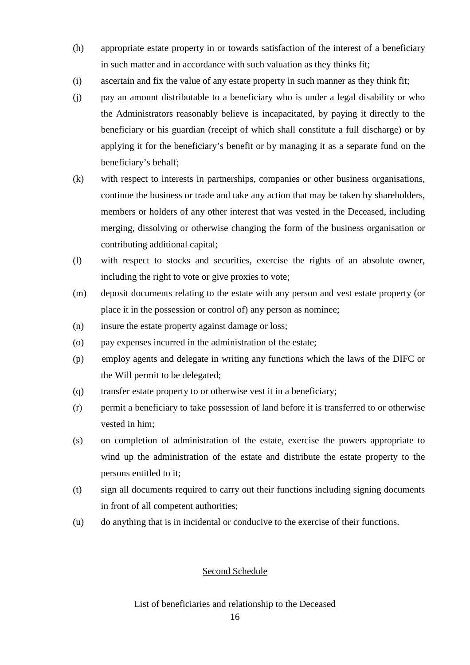- (h) appropriate estate property in or towards satisfaction of the interest of a beneficiary in such matter and in accordance with such valuation as they thinks fit;
- (i) ascertain and fix the value of any estate property in such manner as they think fit;
- (j) pay an amount distributable to a beneficiary who is under a legal disability or who the Administrators reasonably believe is incapacitated, by paying it directly to the beneficiary or his guardian (receipt of which shall constitute a full discharge) or by applying it for the beneficiary's benefit or by managing it as a separate fund on the beneficiary's behalf;
- (k) with respect to interests in partnerships, companies or other business organisations, continue the business or trade and take any action that may be taken by shareholders, members or holders of any other interest that was vested in the Deceased, including merging, dissolving or otherwise changing the form of the business organisation or contributing additional capital;
- (l) with respect to stocks and securities, exercise the rights of an absolute owner, including the right to vote or give proxies to vote;
- (m) deposit documents relating to the estate with any person and vest estate property (or place it in the possession or control of) any person as nominee;
- (n) insure the estate property against damage or loss;
- (o) pay expenses incurred in the administration of the estate;
- (p) employ agents and delegate in writing any functions which the laws of the DIFC or the Will permit to be delegated;
- (q) transfer estate property to or otherwise vest it in a beneficiary;
- (r) permit a beneficiary to take possession of land before it is transferred to or otherwise vested in him;
- (s) on completion of administration of the estate, exercise the powers appropriate to wind up the administration of the estate and distribute the estate property to the persons entitled to it;
- (t) sign all documents required to carry out their functions including signing documents in front of all competent authorities;
- (u) do anything that is in incidental or conducive to the exercise of their functions.

#### Second Schedule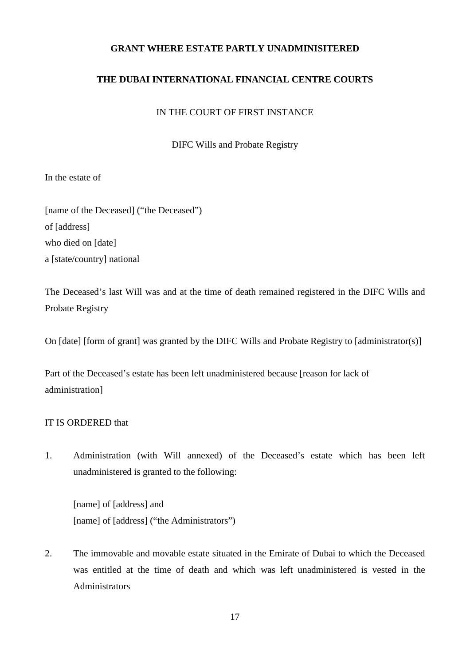## **GRANT WHERE ESTATE PARTLY UNADMINISITERED**

## **THE DUBAI INTERNATIONAL FINANCIAL CENTRE COURTS**

#### IN THE COURT OF FIRST INSTANCE

DIFC Wills and Probate Registry

In the estate of

[name of the Deceased] ("the Deceased") of [address] who died on [date] a [state/country] national

The Deceased's last Will was and at the time of death remained registered in the DIFC Wills and Probate Registry

On [date] [form of grant] was granted by the DIFC Wills and Probate Registry to [administrator(s)]

Part of the Deceased's estate has been left unadministered because [reason for lack of administration]

## IT IS ORDERED that

1. Administration (with Will annexed) of the Deceased's estate which has been left unadministered is granted to the following:

[name] of [address] and [name] of [address] ("the Administrators")

2. The immovable and movable estate situated in the Emirate of Dubai to which the Deceased was entitled at the time of death and which was left unadministered is vested in the Administrators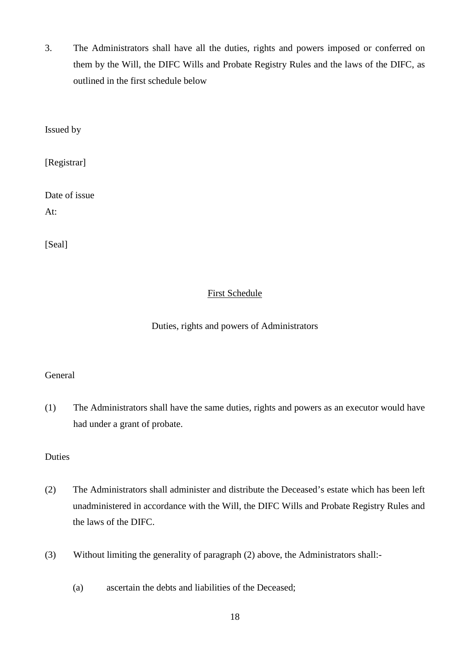3. The Administrators shall have all the duties, rights and powers imposed or conferred on them by the Will, the DIFC Wills and Probate Registry Rules and the laws of the DIFC, as outlined in the first schedule below

Issued by

[Registrar]

Date of issue

At:

[Seal]

## First Schedule

## Duties, rights and powers of Administrators

#### General

(1) The Administrators shall have the same duties, rights and powers as an executor would have had under a grant of probate.

## Duties

- (2) The Administrators shall administer and distribute the Deceased's estate which has been left unadministered in accordance with the Will, the DIFC Wills and Probate Registry Rules and the laws of the DIFC.
- (3) Without limiting the generality of paragraph (2) above, the Administrators shall:-
	- (a) ascertain the debts and liabilities of the Deceased;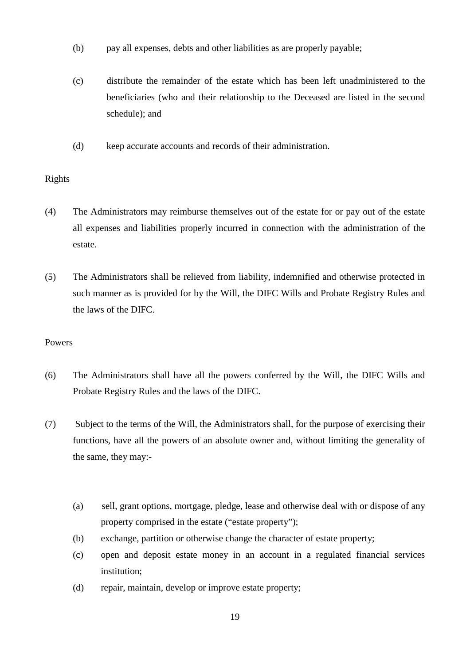- (b) pay all expenses, debts and other liabilities as are properly payable;
- (c) distribute the remainder of the estate which has been left unadministered to the beneficiaries (who and their relationship to the Deceased are listed in the second schedule); and
- (d) keep accurate accounts and records of their administration.

## Rights

- (4) The Administrators may reimburse themselves out of the estate for or pay out of the estate all expenses and liabilities properly incurred in connection with the administration of the estate.
- (5) The Administrators shall be relieved from liability, indemnified and otherwise protected in such manner as is provided for by the Will, the DIFC Wills and Probate Registry Rules and the laws of the DIFC.

- (6) The Administrators shall have all the powers conferred by the Will, the DIFC Wills and Probate Registry Rules and the laws of the DIFC.
- (7) Subject to the terms of the Will, the Administrators shall, for the purpose of exercising their functions, have all the powers of an absolute owner and, without limiting the generality of the same, they may:-
	- (a) sell, grant options, mortgage, pledge, lease and otherwise deal with or dispose of any property comprised in the estate ("estate property");
	- (b) exchange, partition or otherwise change the character of estate property;
	- (c) open and deposit estate money in an account in a regulated financial services institution;
	- (d) repair, maintain, develop or improve estate property;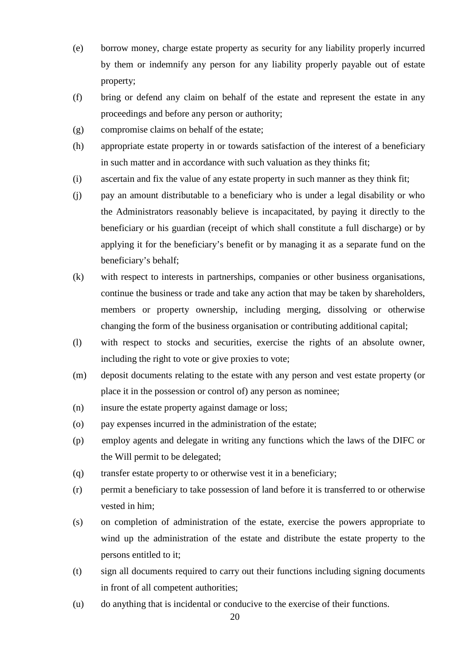- (e) borrow money, charge estate property as security for any liability properly incurred by them or indemnify any person for any liability properly payable out of estate property;
- (f) bring or defend any claim on behalf of the estate and represent the estate in any proceedings and before any person or authority;
- (g) compromise claims on behalf of the estate;
- (h) appropriate estate property in or towards satisfaction of the interest of a beneficiary in such matter and in accordance with such valuation as they thinks fit;
- (i) ascertain and fix the value of any estate property in such manner as they think fit;
- (j) pay an amount distributable to a beneficiary who is under a legal disability or who the Administrators reasonably believe is incapacitated, by paying it directly to the beneficiary or his guardian (receipt of which shall constitute a full discharge) or by applying it for the beneficiary's benefit or by managing it as a separate fund on the beneficiary's behalf;
- (k) with respect to interests in partnerships, companies or other business organisations, continue the business or trade and take any action that may be taken by shareholders, members or property ownership, including merging, dissolving or otherwise changing the form of the business organisation or contributing additional capital;
- (l) with respect to stocks and securities, exercise the rights of an absolute owner, including the right to vote or give proxies to vote;
- (m) deposit documents relating to the estate with any person and vest estate property (or place it in the possession or control of) any person as nominee;
- (n) insure the estate property against damage or loss;
- (o) pay expenses incurred in the administration of the estate;
- (p) employ agents and delegate in writing any functions which the laws of the DIFC or the Will permit to be delegated;
- (q) transfer estate property to or otherwise vest it in a beneficiary;
- (r) permit a beneficiary to take possession of land before it is transferred to or otherwise vested in him;
- (s) on completion of administration of the estate, exercise the powers appropriate to wind up the administration of the estate and distribute the estate property to the persons entitled to it;
- (t) sign all documents required to carry out their functions including signing documents in front of all competent authorities;
- (u) do anything that is incidental or conducive to the exercise of their functions.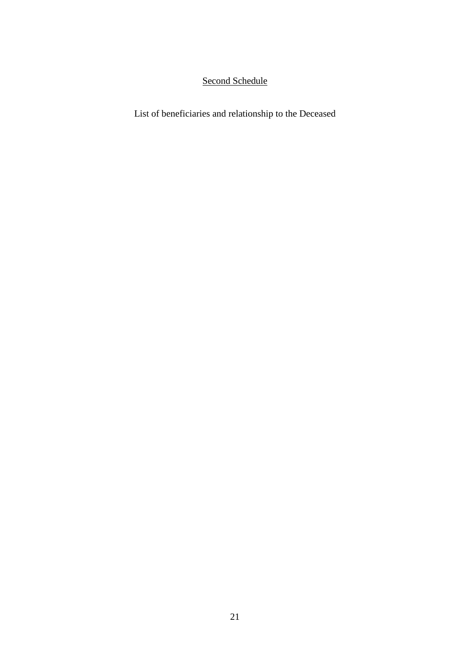## Second Schedule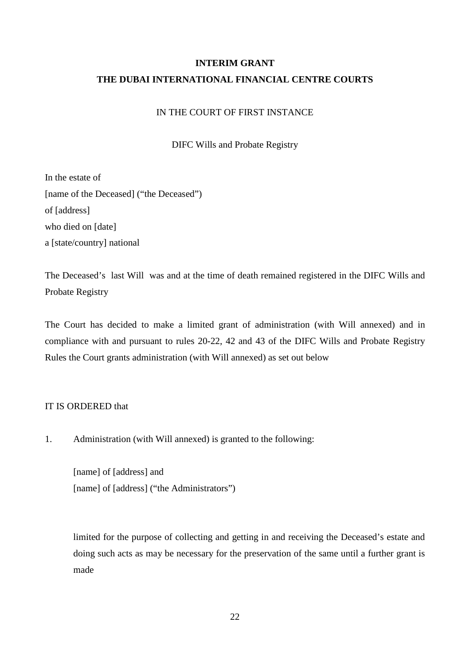# **INTERIM GRANT THE DUBAI INTERNATIONAL FINANCIAL CENTRE COURTS**

## IN THE COURT OF FIRST INSTANCE

DIFC Wills and Probate Registry

In the estate of [name of the Deceased] ("the Deceased") of [address] who died on [date] a [state/country] national

The Deceased's last Will was and at the time of death remained registered in the DIFC Wills and Probate Registry

The Court has decided to make a limited grant of administration (with Will annexed) and in compliance with and pursuant to rules 20-22, 42 and 43 of the DIFC Wills and Probate Registry Rules the Court grants administration (with Will annexed) as set out below

#### IT IS ORDERED that

1. Administration (with Will annexed) is granted to the following:

[name] of [address] and [name] of [address] ("the Administrators")

limited for the purpose of collecting and getting in and receiving the Deceased's estate and doing such acts as may be necessary for the preservation of the same until a further grant is made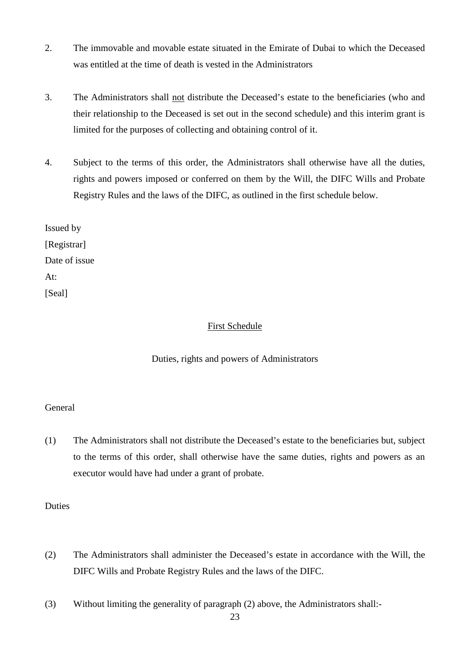- 2. The immovable and movable estate situated in the Emirate of Dubai to which the Deceased was entitled at the time of death is vested in the Administrators
- 3. The Administrators shall not distribute the Deceased's estate to the beneficiaries (who and their relationship to the Deceased is set out in the second schedule) and this interim grant is limited for the purposes of collecting and obtaining control of it.
- 4. Subject to the terms of this order, the Administrators shall otherwise have all the duties, rights and powers imposed or conferred on them by the Will, the DIFC Wills and Probate Registry Rules and the laws of the DIFC, as outlined in the first schedule below.

Issued by [Registrar] Date of issue At: [Seal]

## First Schedule

## Duties, rights and powers of Administrators

#### General

(1) The Administrators shall not distribute the Deceased's estate to the beneficiaries but, subject to the terms of this order, shall otherwise have the same duties, rights and powers as an executor would have had under a grant of probate.

#### Duties

- (2) The Administrators shall administer the Deceased's estate in accordance with the Will, the DIFC Wills and Probate Registry Rules and the laws of the DIFC.
- (3) Without limiting the generality of paragraph (2) above, the Administrators shall:-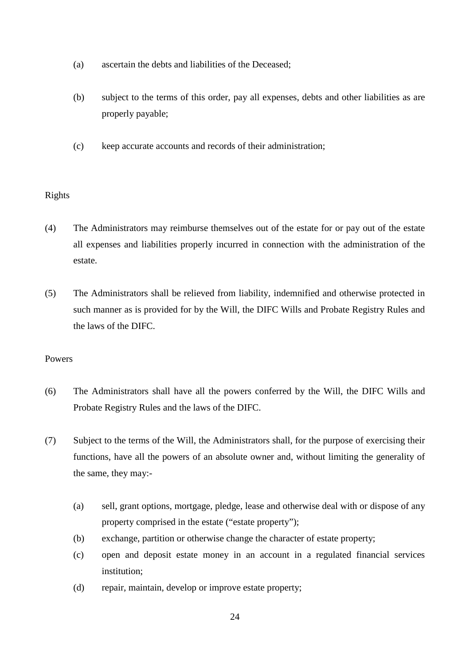- (a) ascertain the debts and liabilities of the Deceased;
- (b) subject to the terms of this order, pay all expenses, debts and other liabilities as are properly payable;
- (c) keep accurate accounts and records of their administration;

## Rights

- (4) The Administrators may reimburse themselves out of the estate for or pay out of the estate all expenses and liabilities properly incurred in connection with the administration of the estate.
- (5) The Administrators shall be relieved from liability, indemnified and otherwise protected in such manner as is provided for by the Will, the DIFC Wills and Probate Registry Rules and the laws of the DIFC.

- (6) The Administrators shall have all the powers conferred by the Will, the DIFC Wills and Probate Registry Rules and the laws of the DIFC.
- (7) Subject to the terms of the Will, the Administrators shall, for the purpose of exercising their functions, have all the powers of an absolute owner and, without limiting the generality of the same, they may:-
	- (a) sell, grant options, mortgage, pledge, lease and otherwise deal with or dispose of any property comprised in the estate ("estate property");
	- (b) exchange, partition or otherwise change the character of estate property;
	- (c) open and deposit estate money in an account in a regulated financial services institution;
	- (d) repair, maintain, develop or improve estate property;